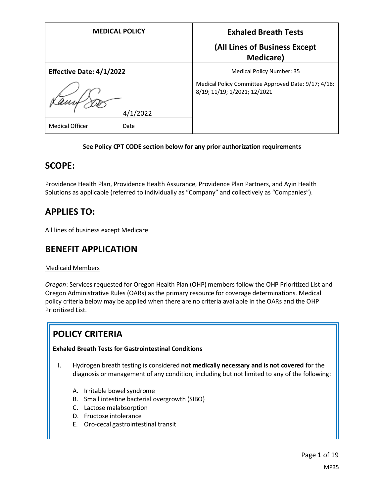| <b>MEDICAL POLICY</b>           | <b>Exhaled Breath Tests</b>                                                         |
|---------------------------------|-------------------------------------------------------------------------------------|
|                                 | (All Lines of Business Except<br><b>Medicare</b> )                                  |
| <b>Effective Date: 4/1/2022</b> | Medical Policy Number: 35                                                           |
|                                 | Medical Policy Committee Approved Date: 9/17; 4/18;<br>8/19; 11/19; 1/2021; 12/2021 |
| 4/1/2022                        |                                                                                     |
| <b>Medical Officer</b><br>Date  |                                                                                     |

# **See Policy CPT CODE section below for any prior authorization requirements**

# **SCOPE:**

Providence Health Plan, Providence Health Assurance, Providence Plan Partners, and Ayin Health Solutions as applicable (referred to individually as "Company" and collectively as "Companies").

# **APPLIES TO:**

All lines of business except Medicare

# **BENEFIT APPLICATION**

# Medicaid Members

*Oregon*: Services requested for Oregon Health Plan (OHP) members follow the OHP Prioritized List and Oregon Administrative Rules (OARs) as the primary resource for coverage determinations. Medical policy criteria below may be applied when there are no criteria available in the OARs and the OHP Prioritized List.

# **POLICY CRITERIA**

# **Exhaled Breath Tests for Gastrointestinal Conditions**

- I. Hydrogen breath testing is considered **not medically necessary and is not covered** for the diagnosis or management of any condition, including but not limited to any of the following:
	- A. Irritable bowel syndrome
	- B. Small intestine bacterial overgrowth (SIBO)
	- C. Lactose malabsorption
	- D. Fructose intolerance
	- E. Oro-cecal gastrointestinal transit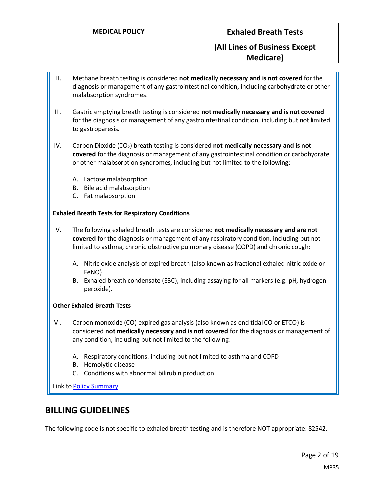- II. Methane breath testing is considered **not medically necessary and is not covered** for the diagnosis or management of any gastrointestinal condition, including carbohydrate or other malabsorption syndromes.
- III. Gastric emptying breath testing is considered **not medically necessary and is not covered**  for the diagnosis or management of any gastrointestinal condition, including but not limited to gastroparesis.
- IV. Carbon Dioxide (CO<sub>2</sub>) breath testing is considered **not medically necessary and is not covered** for the diagnosis or management of any gastrointestinal condition or carbohydrate or other malabsorption syndromes, including but not limited to the following:
	- A. Lactose malabsorption
	- B. Bile acid malabsorption
	- C. Fat malabsorption

#### **Exhaled Breath Tests for Respiratory Conditions**

- V. The following exhaled breath tests are considered **not medically necessary and are not covered** for the diagnosis or management of any respiratory condition, including but not limited to asthma, chronic obstructive pulmonary disease (COPD) and chronic cough:
	- A. Nitric oxide analysis of expired breath (also known as fractional exhaled nitric oxide or FeNO)
	- B. Exhaled breath condensate (EBC), including assaying for all markers (e.g. pH, hydrogen peroxide).

#### **Other Exhaled Breath Tests**

- VI. Carbon monoxide (CO) expired gas analysis (also known as end tidal CO or ETCO) is considered **not medically necessary and is not covered** for the diagnosis or management of any condition, including but not limited to the following:
	- A. Respiratory conditions, including but not limited to asthma and COPD
	- B. Hemolytic disease
	- C. Conditions with abnormal bilirubin production

Link to Policy Summary

# **BILLING GUIDELINES**

The following code is not specific to exhaled breath testing and is therefore NOT appropriate: 82542.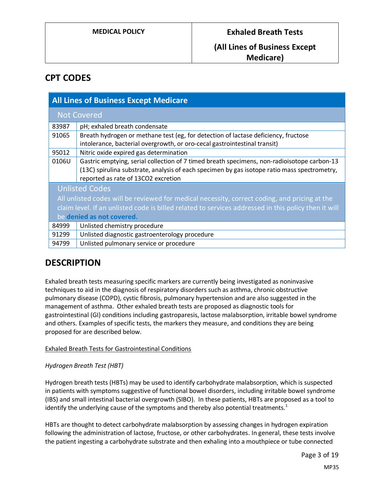# **CPT CODES**

| <b>All Lines of Business Except Medicare</b>                                                         |                                                                                                                                                                                                                                    |
|------------------------------------------------------------------------------------------------------|------------------------------------------------------------------------------------------------------------------------------------------------------------------------------------------------------------------------------------|
| <b>Not Covered</b>                                                                                   |                                                                                                                                                                                                                                    |
| 83987                                                                                                | pH; exhaled breath condensate                                                                                                                                                                                                      |
| 91065                                                                                                | Breath hydrogen or methane test (eg, for detection of lactase deficiency, fructose<br>intolerance, bacterial overgrowth, or oro-cecal gastrointestinal transit)                                                                    |
| 95012                                                                                                | Nitric oxide expired gas determination                                                                                                                                                                                             |
| 0106U                                                                                                | Gastric emptying, serial collection of 7 timed breath specimens, non-radioisotope carbon-13<br>(13C) spirulina substrate, analysis of each specimen by gas isotope ratio mass spectrometry,<br>reported as rate of 13CO2 excretion |
| <b>Unlisted Codes</b>                                                                                |                                                                                                                                                                                                                                    |
| All unlisted codes will be reviewed for medical necessity, correct coding, and pricing at the        |                                                                                                                                                                                                                                    |
| claim level. If an unlisted code is billed related to services addressed in this policy then it will |                                                                                                                                                                                                                                    |
| be denied as not covered.                                                                            |                                                                                                                                                                                                                                    |
| 84999                                                                                                | Unlisted chemistry procedure                                                                                                                                                                                                       |
| 91299                                                                                                | Unlisted diagnostic gastroenterology procedure                                                                                                                                                                                     |
| 94799                                                                                                | Unlisted pulmonary service or procedure                                                                                                                                                                                            |

# **DESCRIPTION**

Exhaled breath tests measuring specific markers are currently being investigated as noninvasive techniques to aid in the diagnosis of respiratory disorders such as asthma, chronic obstructive pulmonary disease (COPD), cystic fibrosis, pulmonary hypertension and are also suggested in the management of asthma. Other exhaled breath tests are proposed as diagnostic tools for gastrointestinal (GI) conditions including gastroparesis, lactose malabsorption, irritable bowel syndrome and others. Examples of specific tests, the markers they measure, and conditions they are being proposed for are described below.

# Exhaled Breath Tests for Gastrointestinal Conditions

# *Hydrogen Breath Test (HBT)*

Hydrogen breath tests (HBTs) may be used to identify carbohydrate malabsorption, which is suspected in patients with symptoms suggestive of functional bowel disorders, including irritable bowel syndrome (IBS) and small intestinal bacterial overgrowth (SIBO). In these patients, HBTs are proposed as a tool to identify the underlying cause of the symptoms and thereby also potential treatments. $1$ 

HBTs are thought to detect carbohydrate malabsorption by assessing changes in hydrogen expiration following the administration of lactose, fructose, or other carbohydrates. In general, these tests involve the patient ingesting a carbohydrate substrate and then exhaling into a mouthpiece or tube connected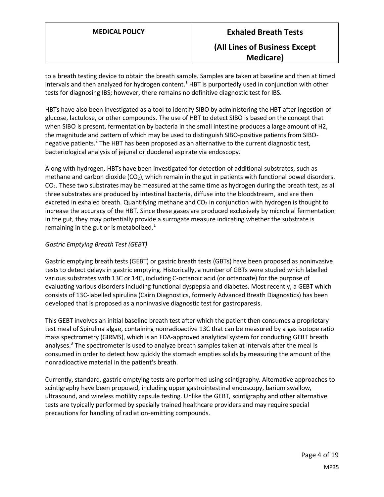to a breath testing device to obtain the breath sample. Samples are taken at baseline and then at timed intervals and then analyzed for hydrogen content.<sup>1</sup> HBT is purportedly used in conjunction with other tests for diagnosing IBS; however, there remains no definitive diagnostic test for IBS.

HBTs have also been investigated as a tool to identify SIBO by administering the HBT after ingestion of glucose, lactulose, or other compounds. The use of HBT to detect SIBO is based on the concept that when SIBO is present, fermentation by bacteria in the small intestine produces a large amount of H2, the magnitude and pattern of which may be used to distinguish SIBO-positive patients from SIBOnegative patients.<sup>2</sup> The HBT has been proposed as an alternative to the current diagnostic test, bacteriological analysis of jejunal or duodenal aspirate via endoscopy.

Along with hydrogen, HBTs have been investigated for detection of additional substrates, such as methane and carbon dioxide  $(CO<sub>2</sub>)$ , which remain in the gut in patients with functional bowel disorders. CO2. These two substrates may be measured at the same time as hydrogen during the breath test, as all three substrates are produced by intestinal bacteria, diffuse into the bloodstream, and are then excreted in exhaled breath. Quantifying methane and  $CO<sub>2</sub>$  in conjunction with hydrogen is thought to increase the accuracy of the HBT. Since these gases are produced exclusively by microbial fermentation in the gut, they may potentially provide a surrogate measure indicating whether the substrate is remaining in the gut or is metabolized. $1$ 

## *Gastric Emptying Breath Test (GEBT)*

Gastric emptying breath tests (GEBT) or gastric breath tests (GBTs) have been proposed as noninvasive tests to detect delays in gastric emptying. Historically, a number of GBTs were studied which labelled various substrates with 13C or 14C, including C-octanoic acid (or octanoate) for the purpose of evaluating various disorders including functional dyspepsia and diabetes. Most recently, a GEBT which consists of 13C-labelled spirulina (Cairn Diagnostics, formerly Advanced Breath Diagnostics) has been developed that is proposed as a noninvasive diagnostic test for gastroparesis.

This GEBT involves an initial baseline breath test after which the patient then consumes a proprietary test meal of Spirulina algae, containing nonradioactive 13C that can be measured by a gas isotope ratio mass spectrometry (GIRMS), which is an FDA-approved analytical system for conducting GEBT breath analyses.<sup>3</sup> The spectrometer is used to analyze breath samples taken at intervals after the meal is consumed in order to detect how quickly the stomach empties solids by measuring the amount of the nonradioactive material in the patient's breath.

Currently, standard, gastric emptying tests are performed using scintigraphy. Alternative approaches to scintigraphy have been proposed, including upper gastrointestinal endoscopy, barium swallow, ultrasound, and wireless motility capsule testing. Unlike the GEBT, scintigraphy and other alternative tests are typically performed by specially trained healthcare providers and may require special precautions for handling of radiation-emitting compounds.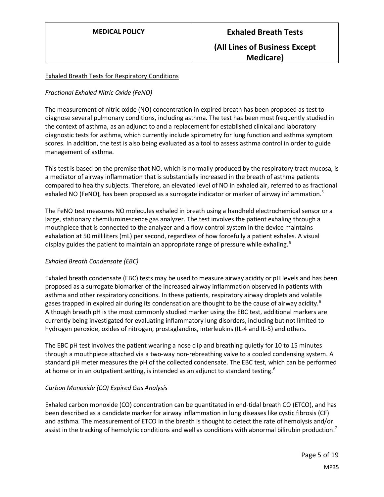# Exhaled Breath Tests for Respiratory Conditions

# *Fractional Exhaled Nitric Oxide (FeNO)*

The measurement of nitric oxide (NO) concentration in expired breath has been proposed as test to diagnose several pulmonary conditions, including asthma. The test has been most frequently studied in the context of asthma, as an adjunct to and a replacement for established clinical and laboratory diagnostic tests for asthma, which currently include spirometry for lung function and asthma symptom scores. In addition, the test is also being evaluated as a tool to assess asthma control in order to guide management of asthma.

This test is based on the premise that NO, which is normally produced by the respiratory tract mucosa, is a mediator of airway inflammation that is substantially increased in the breath of asthma patients compared to healthy subjects. Therefore, an elevated level of NO in exhaled air, referred to as fractional exhaled NO (FeNO), has been proposed as a surrogate indicator or marker of airway inflammation.<sup>5</sup>

The FeNO test measures NO molecules exhaled in breath using a handheld electrochemical sensor or a large, stationary chemiluminescence gas analyzer. The test involves the patient exhaling through a mouthpiece that is connected to the analyzer and a flow control system in the device maintains exhalation at 50 milliliters (mL) per second, regardless of how forcefully a patient exhales. A visual display guides the patient to maintain an appropriate range of pressure while exhaling.<sup>5</sup>

# *Exhaled Breath Condensate (EBC)*

Exhaled breath condensate (EBC) tests may be used to measure airway acidity or pH levels and has been proposed as a surrogate biomarker of the increased airway inflammation observed in patients with asthma and other respiratory conditions. In these patients, respiratory airway droplets and volatile gases trapped in expired air during its condensation are thought to be the cause of airway acidity.<sup>6</sup> Although breath pH is the most commonly studied marker using the EBC test, additional markers are currently being investigated for evaluating inflammatory lung disorders, including but not limited to hydrogen peroxide, oxides of nitrogen, prostaglandins, interleukins (IL-4 and IL-5) and others.

The EBC pH test involves the patient wearing a nose clip and breathing quietly for 10 to 15 minutes through a mouthpiece attached via a two-way non-rebreathing valve to a cooled condensing system. A standard pH meter measures the pH of the collected condensate. The EBC test, which can be performed at home or in an outpatient setting, is intended as an adjunct to standard testing.<sup>6</sup>

# *Carbon Monoxide (CO) Expired Gas Analysis*

Exhaled carbon monoxide (CO) concentration can be quantitated in end-tidal breath CO (ETCO), and has been described as a candidate marker for airway inflammation in lung diseases like cystic fibrosis (CF) and asthma. The measurement of ETCO in the breath is thought to detect the rate of hemolysis and/or assist in the tracking of hemolytic conditions and well as conditions with abnormal bilirubin production.<sup>7</sup>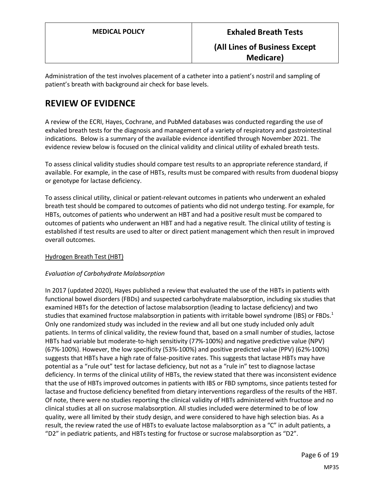Administration of the test involves placement of a catheter into a patient's nostril and sampling of patient's breath with background air check for base levels.

# **REVIEW OF EVIDENCE**

A review of the ECRI, Hayes, Cochrane, and PubMed databases was conducted regarding the use of exhaled breath tests for the diagnosis and management of a variety of respiratory and gastrointestinal indications. Below is a summary of the available evidence identified through November 2021. The evidence review below is focused on the clinical validity and clinical utility of exhaled breath tests.

To assess clinical validity studies should compare test results to an appropriate reference standard, if available. For example, in the case of HBTs, results must be compared with results from duodenal biopsy or genotype for lactase deficiency.

To assess clinical utility, clinical or patient-relevant outcomes in patients who underwent an exhaled breath test should be compared to outcomes of patients who did not undergo testing. For example, for HBTs, outcomes of patients who underwent an HBT and had a positive result must be compared to outcomes of patients who underwent an HBT and had a negative result. The clinical utility of testing is established if test results are used to alter or direct patient management which then result in improved overall outcomes.

# Hydrogen Breath Test (HBT)

# *Evaluation of Carbohydrate Malabsorption*

In 2017 (updated 2020), Hayes published a review that evaluated the use of the HBTs in patients with functional bowel disorders (FBDs) and suspected carbohydrate malabsorption, including six studies that examined HBTs for the detection of lactose malabsorption (leading to lactase deficiency) and two studies that examined fructose malabsorption in patients with irritable bowel syndrome (IBS) or FBDs.<sup>1</sup> Only one randomized study was included in the review and all but one study included only adult patients. In terms of clinical validity, the review found that, based on a small number of studies, lactose HBTs had variable but moderate-to-high sensitivity (77%-100%) and negative predictive value (NPV) (67%-100%). However, the low specificity (53%-100%) and positive predicted value (PPV) (62%-100%) suggests that HBTs have a high rate of false-positive rates. This suggests that lactase HBTs may have potential as a "rule out" test for lactase deficiency, but not as a "rule in" test to diagnose lactase deficiency. In terms of the clinical utility of HBTs, the review stated that there was inconsistent evidence that the use of HBTs improved outcomes in patients with IBS or FBD symptoms, since patients tested for lactase and fructose deficiency benefited from dietary interventions regardless of the results of the HBT. Of note, there were no studies reporting the clinical validity of HBTs administered with fructose and no clinical studies at all on sucrose malabsorption. All studies included were determined to be of low quality, were all limited by their study design, and were considered to have high selection bias. As a result, the review rated the use of HBTs to evaluate lactose malabsorption as a "C" in adult patients, a "D2" in pediatric patients, and HBTs testing for fructose or sucrose malabsorption as "D2".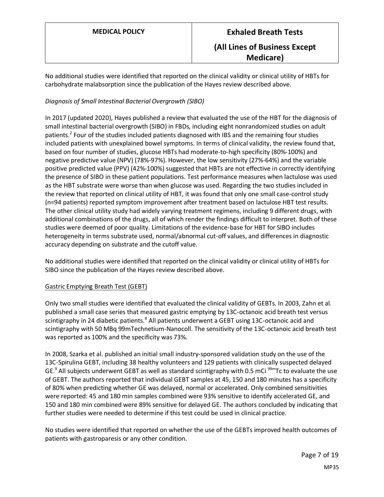No additional studies were identified that reported on the clinical validity or clinical utility of HBTs for carbohydrate malabsorption since the publication of the Hayes review described above.

# *Diagnosis of Small Intestinal Bacterial Overgrowth (SIBO)*

In 2017 (updated 2020), Hayes published a review that evaluated the use of the HBT for the diagnosis of small intestinal bacterial overgrowth (SIBO) in FBDs, including eight nonrandomized studies on adult patients.<sup>2</sup> Four of the studies included patients diagnosed with IBS and the remaining four studies included patients with unexplained bowel symptoms. In terms of clinical validity, the review found that, based on four number of studies, glucose HBTs had moderate-to-high specificity (80%-100%) and negative predictive value (NPV) (78%-97%). However, the low sensitivity (27%-64%) and the variable positive predicted value (PPV) (42%-100%) suggested that HBTs are not effective in correctly identifying the presence of SIBO in these patient populations. Test performance measures when lactulose was used as the HBT substrate were worse than when glucose was used. Regarding the two studies included in the review that reported on clinical utility of HBT, it was found that only one small case-control study (n=94 patients) reported symptom improvement after treatment based on lactulose HBT test results. The other clinical utility study had widely varying treatment regimens, including 9 different drugs, with additional combinations of the drugs, all of which render the findings difficult to interpret. Both of these studies were deemed of poor quality. Limitations of the evidence-base for HBT for SIBO includes heterogeneity in terms substrate used, normal/abnormal cut-off values, and differences in diagnostic accuracy depending on substrate and the cutoff value.

No additional studies were identified that reported on the clinical validity or clinical utility of HBTs for SIBO since the publication of the Hayes review described above.

# Gastric Emptying Breath Test (GEBT)

Only two small studies were identified that evaluated the clinical validity of GEBTs. In 2003, Zahn et al. published a small case series that measured gastric emptying by 13C-octanoic acid breath test versus scintigraphy in 24 diabetic patients.<sup>8</sup> All patients underwent a GEBT using 13C-octanoic acid and scintigraphy with 50 MBq 99mTechnetium-Nanocoll. The sensitivity of the 13C-octanoic acid breath test was reported as 100% and the specificity was 73%.

In 2008, Szarka et al. published an initial small industry-sponsored validation study on the use of the 13C-Spirulina GEBT, including 38 healthy volunteers and 129 patients with clinically suspected delayed GE.<sup>9</sup> All subjects underwent GEBT as well as standard scintigraphy with 0.5 mCi <sup>99m</sup>Tc to evaluate the use of GEBT. The authors reported that individual GEBT samples at 45, 150 and 180 minutes has a specificity of 80% when predicting whether GE was delayed, normal or accelerated. Only combined sensitivities were reported: 45 and 180 min samples combined were 93% sensitive to identify accelerated GE, and 150 and 180 min combined were 89% sensitive for delayed GE. The authors concluded by indicating that further studies were needed to determine if this test could be used in clinical practice.

No studies were identified that reported on whether the use of the GEBTs improved health outcomes of patients with gastroparesis or any other condition.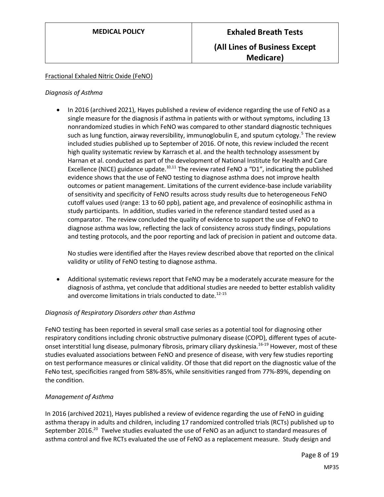## Fractional Exhaled Nitric Oxide (FeNO)

#### *Diagnosis of Asthma*

• In 2016 (archived 2021), Hayes published a review of evidence regarding the use of FeNO as a single measure for the diagnosis if asthma in patients with or without symptoms, including 13 nonrandomized studies in which FeNO was compared to other standard diagnostic techniques such as lung function, airway reversibility, immunoglobulin E, and sputum cytology.<sup>5</sup> The review included studies published up to September of 2016. Of note, this review included the recent high quality systematic review by Karrasch et al. and the health technology assessment by Harnan et al. conducted as part of the development of National Institute for Health and Care Excellence (NICE) guidance update.<sup>10,11</sup> The review rated FeNO a "D1", indicating the published evidence shows that the use of FeNO testing to diagnose asthma does not improve health outcomes or patient management. Limitations of the current evidence-base include variability of sensitivity and specificity of FeNO results across study results due to heterogeneous FeNO cutoff values used (range: 13 to 60 ppb), patient age, and prevalence of eosinophilic asthma in study participants. In addition, studies varied in the reference standard tested used as a comparator. The review concluded the quality of evidence to support the use of FeNO to diagnose asthma was low, reflecting the lack of consistency across study findings, populations and testing protocols, and the poor reporting and lack of precision in patient and outcome data.

No studies were identified after the Hayes review described above that reported on the clinical validity or utility of FeNO testing to diagnose asthma.

• Additional systematic reviews report that FeNO may be a moderately accurate measure for the diagnosis of asthma, yet conclude that additional studies are needed to better establish validity and overcome limitations in trials conducted to date. $12-15$ 

#### *Diagnosis of Respiratory Disorders other than Asthma*

FeNO testing has been reported in several small case series as a potential tool for diagnosing other respiratory conditions including chronic obstructive pulmonary disease (COPD), different types of acuteonset interstitial lung disease, pulmonary fibrosis, primary ciliary dyskinesia.<sup>16-19</sup> However, most of these studies evaluated associations between FeNO and presence of disease, with very few studies reporting on test performance measures or clinical validity. Of those that did report on the diagnostic value of the FeNo test, specificities ranged from 58%-85%, while sensitivities ranged from 77%-89%, depending on the condition.

#### *Management of Asthma*

In 2016 (archived 2021), Hayes published a review of evidence regarding the use of FeNO in guiding asthma therapy in adults and children, including 17 randomized controlled trials (RCTs) published up to September 2016.<sup>20</sup> Twelve studies evaluated the use of FeNO as an adjunct to standard measures of asthma control and five RCTs evaluated the use of FeNO as a replacement measure. Study design and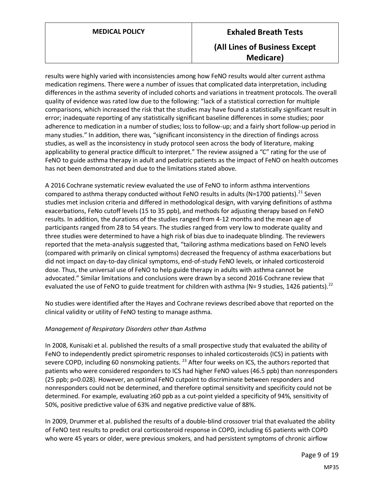results were highly varied with inconsistencies among how FeNO results would alter current asthma medication regimens. There were a number of issues that complicated data interpretation, including differences in the asthma severity of included cohorts and variations in treatment protocols. The overall quality of evidence was rated low due to the following: "lack of a statistical correction for multiple comparisons, which increased the risk that the studies may have found a statistically significant result in error; inadequate reporting of any statistically significant baseline differences in some studies; poor adherence to medication in a number of studies; loss to follow-up; and a fairly short follow-up period in many studies." In addition, there was, "significant inconsistency in the direction of findings across studies, as well as the inconsistency in study protocol seen across the body of literature, making applicability to general practice difficult to interpret." The review assigned a "C" rating for the use of FeNO to guide asthma therapy in adult and pediatric patients as the impact of FeNO on health outcomes has not been demonstrated and due to the limitations stated above.

A 2016 Cochrane systematic review evaluated the use of FeNO to inform asthma interventions compared to asthma therapy conducted without FeNO results in adults (N=1700 patients).<sup>21</sup> Seven studies met inclusion criteria and differed in methodological design, with varying definitions of asthma exacerbations, FeNo cutoff levels (15 to 35 ppb), and methods for adjusting therapy based on FeNO results. In addition, the durations of the studies ranged from 4-12 months and the mean age of participants ranged from 28 to 54 years. The studies ranged from very low to moderate quality and three studies were determined to have a high risk of bias due to inadequate blinding. The reviewers reported that the meta-analysis suggested that, "tailoring asthma medications based on FeNO levels (compared with primarily on clinical symptoms) decreased the frequency of asthma exacerbations but did not impact on day-to-day clinical symptoms, end-of-study FeNO levels, or inhaled corticosteroid dose. Thus, the universal use of FeNO to help guide therapy in adults with asthma cannot be advocated." Similar limitations and conclusions were drawn by a second 2016 Cochrane review that evaluated the use of FeNO to guide treatment for children with asthma (N= 9 studies, 1426 patients).<sup>22</sup>

No studies were identified after the Hayes and Cochrane reviews described above that reported on the clinical validity or utility of FeNO testing to manage asthma.

# *Management of Respiratory Disorders other than Asthma*

In 2008, Kunisaki et al. published the results of a small prospective study that evaluated the ability of FeNO to independently predict spirometric responses to inhaled corticosteroids (ICS) in patients with severe COPD, including 60 nonsmoking patients.<sup>23</sup> After four weeks on ICS, the authors reported that patients who were considered responders to ICS had higher FeNO values (46.5 ppb) than nonresponders (25 ppb; p=0.028). However, an optimal FeNO cutpoint to discriminate between responders and nonresponders could not be determined, and therefore optimal sensitivity and specificity could not be determined. For example, evaluating ≥60 ppb as a cut-point yielded a specificity of 94%, sensitivity of 50%, positive predictive value of 63% and negative predictive value of 88%.

In 2009, Drummer et al. published the results of a double-blind crossover trial that evaluated the ability of FeNO test results to predict oral corticosteroid response in COPD, including 65 patients with COPD who were 45 years or older, were previous smokers, and had persistent symptoms of chronic airflow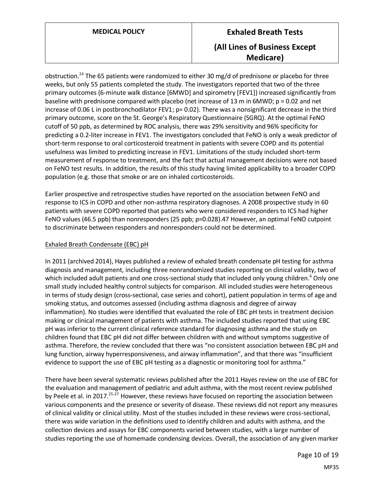obstruction.<sup>24</sup> The 65 patients were randomized to either 30 mg/d of prednisone or placebo for three weeks, but only 55 patients completed the study. The investigators reported that two of the three primary outcomes (6-minute walk distance [6MWD] and spirometry [FEV1]) increased significantly from baseline with prednisone compared with placebo (net increase of 13 m in 6MWD; p = 0.02 and net increase of 0.06 L in postbronchodilator FEV1;  $p= 0.02$ ). There was a nonsignificant decrease in the third primary outcome, score on the St. George's Respiratory Questionnaire (SGRQ). At the optimal FeNO cutoff of 50 ppb, as determined by ROC analysis, there was 29% sensitivity and 96% specificity for predicting a 0.2-liter increase in FEV1. The investigators concluded that FeNO is only a weak predictor of short-term response to oral corticosteroid treatment in patients with severe COPD and its potential usefulness was limited to predicting increase in FEV1. Limitations of the study included short-term measurement of response to treatment, and the fact that actual management decisions were not based on FeNO test results. In addition, the results of this study having limited applicability to a broader COPD population (e.g. those that smoke or are on inhaled corticosteroids.

Earlier prospective and retrospective studies have reported on the association between FeNO and response to ICS in COPD and other non-asthma respiratory diagnoses. A 2008 prospective study in 60 patients with severe COPD reported that patients who were considered responders to ICS had higher FeNO values (46.5 ppb) than nonresponders (25 ppb; p=0.028).47 However, an optimal FeNO cutpoint to discriminate between responders and nonresponders could not be determined.

# Exhaled Breath Condensate (EBC) pH

In 2011 (archived 2014), Hayes published a review of exhaled breath condensate pH testing for asthma diagnosis and management, including three nonrandomized studies reporting on clinical validity, two of which included adult patients and one cross-sectional study that included only young children.<sup>6</sup> Only one small study included healthy control subjects for comparison. All included studies were heterogeneous in terms of study design (cross-sectional, case series and cohort), patient population in terms of age and smoking status, and outcomes assessed (including asthma diagnosis and degree of airway inflammation). No studies were identified that evaluated the role of EBC pH tests in treatment decision making or clinical management of patients with asthma. The included studies reported that using EBC pH was inferior to the current clinical reference standard for diagnosing asthma and the study on children found that EBC pH did not differ between children with and without symptoms suggestive of asthma. Therefore, the review concluded that there was "no consistent association between EBC pH and lung function, airway hyperresponsiveness, and airway inflammation", and that there was "insufficient evidence to support the use of EBC pH testing as a diagnostic or monitoring tool for asthma."

There have been several systematic reviews published after the 2011 Hayes review on the use of EBC for the evaluation and management of pediatric and adult asthma, with the most recent review published by Peele et al. in 2017.<sup>25-27</sup> However, these reviews have focused on reporting the association between various components and the presence or severity of disease. These reviews did not report any measures of clinical validity or clinical utility. Most of the studies included in these reviews were cross-sectional, there was wide variation in the definitions used to identify children and adults with asthma, and the collection devices and assays for EBC components varied between studies, with a large number of studies reporting the use of homemade condensing devices. Overall, the association of any given marker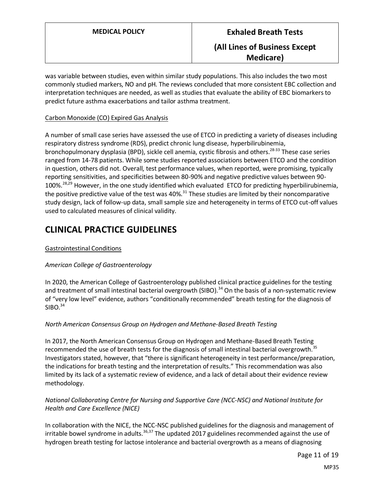was variable between studies, even within similar study populations. This also includes the two most commonly studied markers, NO and pH. The reviews concluded that more consistent EBC collection and interpretation techniques are needed, as well as studies that evaluate the ability of EBC biomarkers to predict future asthma exacerbations and tailor asthma treatment.

## Carbon Monoxide (CO) Expired Gas Analysis

A number of small case series have assessed the use of ETCO in predicting a variety of diseases including respiratory distress syndrome (RDS), predict chronic lung disease, hyperbilirubinemia, bronchopulmonary dysplasia (BPD), sickle cell anemia, cystic fibrosis and others.<sup>28-33</sup> These case series ranged from 14-78 patients. While some studies reported associations between ETCO and the condition in question, others did not. Overall, test performance values, when reported, were promising, typically reporting sensitivities, and specificities between 80-90% and negative predictive values between 90- 100%.28,29 However, in the one study identified which evaluated ETCO for predicting hyperbilirubinemia, the positive predictive value of the test was 40%.<sup>31</sup> These studies are limited by their noncomparative study design, lack of follow-up data, small sample size and heterogeneity in terms of ETCO cut-off values used to calculated measures of clinical validity.

# **CLINICAL PRACTICE GUIDELINES**

# Gastrointestinal Conditions

# *American College of Gastroenterology*

In 2020, the American College of Gastroenterology published clinical practice guidelines for the testing and treatment of small intestinal bacterial overgrowth (SIBO).<sup>34</sup> On the basis of a non-systematic review of "very low level" evidence, authors "conditionally recommended" breath testing for the diagnosis of  $SIBO.<sup>34</sup>$ 

# *North American Consensus Group on Hydrogen and Methane-Based Breath Testing*

In 2017, the North American Consensus Group on Hydrogen and Methane-Based Breath Testing recommended the use of breath tests for the diagnosis of small intestinal bacterial overgrowth.<sup>35</sup> Investigators stated, however, that "there is significant heterogeneity in test performance/preparation, the indications for breath testing and the interpretation of results." This recommendation was also limited by its lack of a systematic review of evidence, and a lack of detail about their evidence review methodology.

# *National Collaborating Centre for Nursing and Supportive Care (NCC-NSC) and National Institute for Health and Care Excellence (NICE)*

In collaboration with the NICE, the NCC-NSC published guidelines for the diagnosis and management of irritable bowel syndrome in adults.  $36,37$  The updated 2017 guidelines recommended against the use of hydrogen breath testing for lactose intolerance and bacterial overgrowth as a means of diagnosing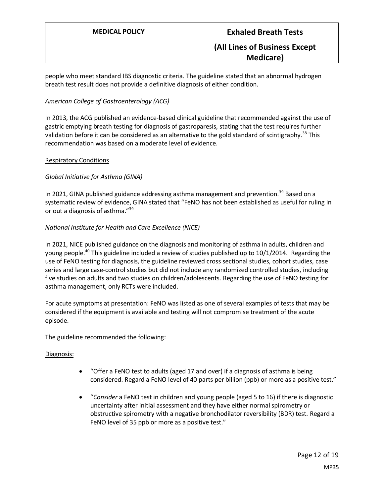people who meet standard IBS diagnostic criteria. The guideline stated that an abnormal hydrogen breath test result does not provide a definitive diagnosis of either condition.

# *American College of Gastroenterology (ACG)*

In 2013, the ACG published an evidence-based clinical guideline that recommended against the use of gastric emptying breath testing for diagnosis of gastroparesis, stating that the test requires further validation before it can be considered as an alternative to the gold standard of scintigraphy.<sup>38</sup> This recommendation was based on a moderate level of evidence.

## Respiratory Conditions

# *Global Initiative for Asthma (GINA)*

In 2021, GINA published guidance addressing asthma management and prevention.<sup>39</sup> Based on a systematic review of evidence, GINA stated that "FeNO has not been established as useful for ruling in or out a diagnosis of asthma."<sup>39</sup>

## *National Institute for Health and Care Excellence (NICE)*

In 2021, NICE published guidance on the diagnosis and monitoring of asthma in adults, children and young people.<sup>40</sup> This guideline included a review of studies published up to 10/1/2014. Regarding the use of FeNO testing for diagnosis, the guideline reviewed cross sectional studies, cohort studies, case series and large case-control studies but did not include any randomized controlled studies, including five studies on adults and two studies on children/adolescents. Regarding the use of FeNO testing for asthma management, only RCTs were included.

For acute symptoms at presentation: FeNO was listed as one of several examples of tests that may be considered if the equipment is available and testing will not compromise treatment of the acute episode.

The guideline recommended the following:

#### Diagnosis:

- "Offer a FeNO test to adults (aged 17 and over) if a diagnosis of asthma is being considered. Regard a FeNO level of 40 parts per billion (ppb) or more as a positive test."
- "*Consider* a FeNO test in children and young people (aged 5 to 16) if there is diagnostic uncertainty after initial assessment and they have either normal spirometry or obstructive spirometry with a negative bronchodilator reversibility (BDR) test. Regard a FeNO level of 35 ppb or more as a positive test."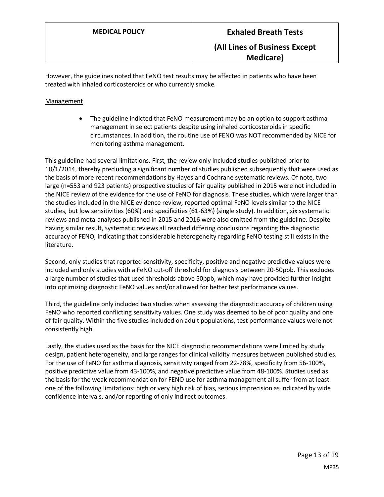However, the guidelines noted that FeNO test results may be affected in patients who have been treated with inhaled corticosteroids or who currently smoke.

# Management

• The guideline indicted that FeNO measurement may be an option to support asthma management in select patients despite using inhaled corticosteroids in specific circumstances. In addition, the routine use of FENO was NOT recommended by NICE for monitoring asthma management.

This guideline had several limitations. First, the review only included studies published prior to 10/1/2014, thereby precluding a significant number of studies published subsequently that were used as the basis of more recent recommendations by Hayes and Cochrane systematic reviews. Of note, two large (n=553 and 923 patients) prospective studies of fair quality published in 2015 were not included in the NICE review of the evidence for the use of FeNO for diagnosis. These studies, which were larger than the studies included in the NICE evidence review, reported optimal FeNO levels similar to the NICE studies, but low sensitivities (60%) and specificities (61-63%) (single study). In addition, six systematic reviews and meta-analyses published in 2015 and 2016 were also omitted from the guideline. Despite having similar result, systematic reviews all reached differing conclusions regarding the diagnostic accuracy of FENO, indicating that considerable heterogeneity regarding FeNO testing still exists in the literature.

Second, only studies that reported sensitivity, specificity, positive and negative predictive values were included and only studies with a FeNO cut-off threshold for diagnosis between 20-50ppb. This excludes a large number of studies that used thresholds above 50ppb, which may have provided further insight into optimizing diagnostic FeNO values and/or allowed for better test performance values.

Third, the guideline only included two studies when assessing the diagnostic accuracy of children using FeNO who reported conflicting sensitivity values. One study was deemed to be of poor quality and one of fair quality. Within the five studies included on adult populations, test performance values were not consistently high.

Lastly, the studies used as the basis for the NICE diagnostic recommendations were limited by study design, patient heterogeneity, and large ranges for clinical validity measures between published studies. For the use of FeNO for asthma diagnosis, sensitivity ranged from 22-78%, specificity from 56-100%, positive predictive value from 43-100%, and negative predictive value from 48-100%. Studies used as the basis for the weak recommendation for FENO use for asthma management all suffer from at least one of the following limitations: high or very high risk of bias, serious imprecision as indicated by wide confidence intervals, and/or reporting of only indirect outcomes.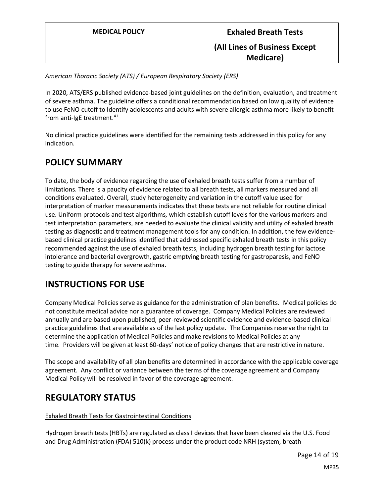*American Thoracic Society (ATS) / European Respiratory Society (ERS)*

In 2020, ATS/ERS published evidence-based joint guidelines on the definition, evaluation, and treatment of severe asthma. The guideline offers a conditional recommendation based on low quality of evidence to use FeNO cutoff to Identify adolescents and adults with severe allergic asthma more likely to benefit from anti-IgE treatment. 41

No clinical practice guidelines were identified for the remaining tests addressed in this policy for any indication.

# **POLICY SUMMARY**

To date, the body of evidence regarding the use of exhaled breath tests suffer from a number of limitations. There is a paucity of evidence related to all breath tests, all markers measured and all conditions evaluated. Overall, study heterogeneity and variation in the cutoff value used for interpretation of marker measurements indicates that these tests are not reliable for routine clinical use. Uniform protocols and test algorithms, which establish cutoff levels for the various markers and test interpretation parameters, are needed to evaluate the clinical validity and utility of exhaled breath testing as diagnostic and treatment management tools for any condition. In addition, the few evidencebased clinical practice guidelines identified that addressed specific exhaled breath tests in this policy recommended against the use of exhaled breath tests, including hydrogen breath testing for lactose intolerance and bacterial overgrowth, gastric emptying breath testing for gastroparesis, and FeNO testing to guide therapy for severe asthma.

# **INSTRUCTIONS FOR USE**

Company Medical Policies serve as guidance for the administration of plan benefits. Medical policies do not constitute medical advice nor a guarantee of coverage. Company Medical Policies are reviewed annually and are based upon published, peer-reviewed scientific evidence and evidence-based clinical practice guidelines that are available as of the last policy update. The Companies reserve the right to determine the application of Medical Policies and make revisions to Medical Policies at any time. Providers will be given at least 60-days' notice of policy changes that are restrictive in nature.

The scope and availability of all plan benefits are determined in accordance with the applicable coverage agreement. Any conflict or variance between the terms of the coverage agreement and Company Medical Policy will be resolved in favor of the coverage agreement.

# **REGULATORY STATUS**

# Exhaled Breath Tests for Gastrointestinal Conditions

Hydrogen breath tests (HBTs) are regulated as class I devices that have been cleared via the U.S. Food and Drug Administration (FDA) 510(k) process under the product code NRH (system, breath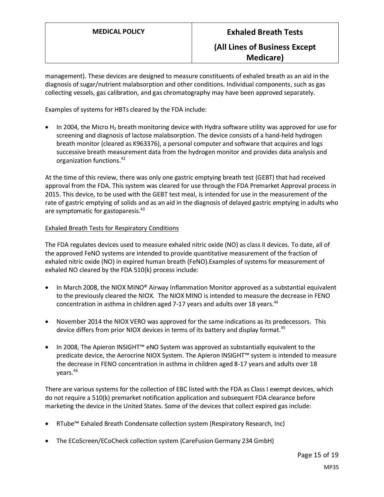management). These devices are designed to measure constituents of exhaled breath as an aid in the diagnosis of sugar/nutrient malabsorption and other conditions. Individual components, such as gas collecting vessels, gas calibration, and gas chromatography may have been approved separately.

Examples of systems for HBTs cleared by the FDA include:

• In 2004, the Micro H<sub>2</sub> breath monitoring device with Hydra software utility was approved for use for screening and diagnosis of lactose malabsorption. The device consists of a hand-held hydrogen breath monitor (cleared as K963376), a personal computer and software that acquires and logs successive breath measurement data from the hydrogen monitor and provides data analysis and organization functions.<sup>42</sup>

At the time of this review, there was only one gastric emptying breath test (GEBT) that had received approval from the FDA. This system was cleared for use through the FDA Premarket Approval process in 2015. This device, to be used with the GEBT test meal, is intended for use in the measurement of the rate of gastric emptying of solids and as an aid in the diagnosis of delayed gastric emptying in adults who are symptomatic for gastoparesis.<sup>43</sup>

## Exhaled Breath Tests for Respiratory Conditions

The FDA regulates devices used to measure exhaled nitric oxide (NO) as class II devices. To date, all of the approved FeNO systems are intended to provide quantitative measurement of the fraction of exhaled nitric oxide (NO) in expired human breath (FeNO).Examples of systems for measurement of exhaled NO cleared by the FDA 510(k) process include:

- In March 2008, the NIOX MINO® Airway Inflammation Monitor approved as a substantial equivalent to the previously cleared the NIOX. The NIOX MINO is intended to measure the decrease in FENO concentration in asthma in children aged 7-17 years and adults over 18 years. $44$
- November 2014 the NIOX VERO was approved for the same indications as its predecessors. This device differs from prior NIOX devices in terms of its battery and display format.<sup>45</sup>
- In 2008, The Apieron INSIGHT™ eNO System was approved as substantially equivalent to the predicate device, the Aerocrine NIOX System. The Apieron INSIGHT™ system is intended to measure the decrease in FENO concentration in asthma in children aged 8-17 years and adults over 18 years.<sup>46</sup>

There are various systems for the collection of EBC listed with the FDA as Class I exempt devices, which do not require a 510(k) premarket notification application and subsequent FDA clearance before marketing the device in the United States. Some of the devices that collect expired gas include:

- RTube™ Exhaled Breath Condensate collection system (Respiratory Research, Inc)
- The ECoScreen/ECoCheck collection system (CareFusion Germany 234 GmbH)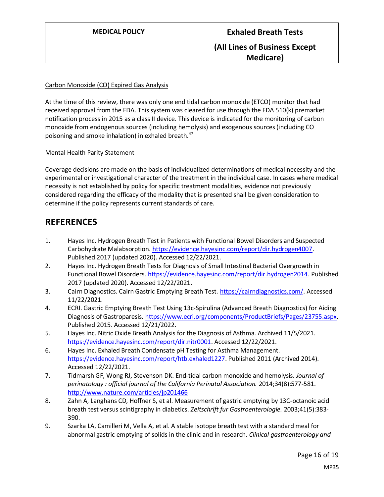# Carbon Monoxide (CO) Expired Gas Analysis

At the time of this review, there was only one end tidal carbon monoxide (ETCO) monitor that had received approval from the FDA. This system was cleared for use through the FDA 510(k) premarket notification process in 2015 as a class II device. This device is indicated for the monitoring of carbon monoxide from endogenous sources (including hemolysis) and exogenous sources (including CO poisoning and smoke inhalation) in exhaled breath.<sup>47</sup>

# Mental Health Parity Statement

Coverage decisions are made on the basis of individualized determinations of medical necessity and the experimental or investigational character of the treatment in the individual case. In cases where medical necessity is not established by policy for specific treatment modalities, evidence not previously considered regarding the efficacy of the modality that is presented shall be given consideration to determine if the policy represents current standards of care.

# **REFERENCES**

- 1. Hayes Inc. Hydrogen Breath Test in Patients with Functional Bowel Disorders and Suspected Carbohydrate Malabsorption. [https://evidence.hayesinc.com/report/dir.hydrogen4007.](https://evidence.hayesinc.com/report/dir.hydrogen4007) Published 2017 (updated 2020). Accessed 12/22/2021.
- 2. Hayes Inc. Hydrogen Breath Tests for Diagnosis of Small Intestinal Bacterial Overgrowth in Functional Bowel Disorders[. https://evidence.hayesinc.com/report/dir.hydrogen2014.](https://evidence.hayesinc.com/report/dir.hydrogen2014) Published 2017 (updated 2020). Accessed 12/22/2021.
- 3. Cairn Diagnostics. Cairn Gastric Emptying Breath Test. [https://cairndiagnostics.com/.](https://cairndiagnostics.com/) Accessed 11/22/2021.
- 4. ECRI. Gastric Emptying Breath Test Using 13c-Spirulina (Advanced Breath Diagnostics) for Aiding Diagnosis of Gastroparesis. [https://www.ecri.org/components/ProductBriefs/Pages/23755.aspx.](https://www.ecri.org/components/ProductBriefs/Pages/23755.aspx) Published 2015. Accessed 12/21/2022.
- 5. Hayes Inc. Nitric Oxide Breath Analysis for the Diagnosis of Asthma. Archived 11/5/2021. [https://evidence.hayesinc.com/report/dir.nitr0001.](https://evidence.hayesinc.com/report/dir.nitr0001) Accessed 12/22/2021.
- 6. Hayes Inc. Exhaled Breath Condensate pH Testing for Asthma Management. [https://evidence.hayesinc.com/report/htb.exhaled1227.](https://evidence.hayesinc.com/report/htb.exhaled1227) Published 2011 (Archived 2014). Accessed 12/22/2021.
- 7. Tidmarsh GF, Wong RJ, Stevenson DK. End-tidal carbon monoxide and hemolysis. *Journal of perinatology : official journal of the California Perinatal Association.* 2014;34(8):577-581. <http://www.nature.com/articles/jp201466>
- 8. Zahn A, Langhans CD, Hoffner S, et al. Measurement of gastric emptying by 13C-octanoic acid breath test versus scintigraphy in diabetics. *Zeitschrift fur Gastroenterologie.* 2003;41(5):383- 390.
- 9. Szarka LA, Camilleri M, Vella A, et al. A stable isotope breath test with a standard meal for abnormal gastric emptying of solids in the clinic and in research. *Clinical gastroenterology and*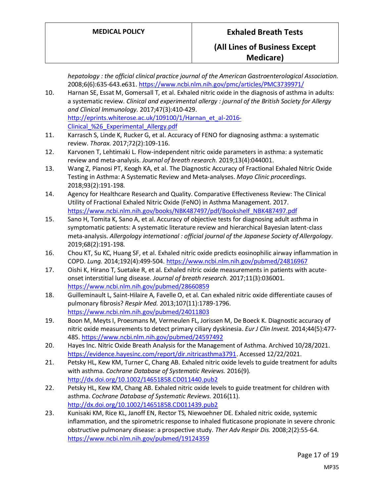|     | hepatology : the official clinical practice journal of the American Gastroenterological Association.<br>2008;6(6):635-643.e631. https://www.ncbi.nlm.nih.gov/pmc/articles/PMC3739971/ |
|-----|---------------------------------------------------------------------------------------------------------------------------------------------------------------------------------------|
| 10. | Harnan SE, Essat M, Gomersall T, et al. Exhaled nitric oxide in the diagnosis of asthma in adults:                                                                                    |
|     | a systematic review. Clinical and experimental allergy : journal of the British Society for Allergy                                                                                   |
|     | and Clinical Immunology. 2017;47(3):410-429.                                                                                                                                          |
|     | http://eprints.whiterose.ac.uk/109100/1/Harnan_et_al-2016-                                                                                                                            |
|     | Clinical %26 Experimental Allergy.pdf                                                                                                                                                 |
| 11. | Karrasch S, Linde K, Rucker G, et al. Accuracy of FENO for diagnosing asthma: a systematic                                                                                            |
|     | review. Thorax. 2017;72(2):109-116.                                                                                                                                                   |
| 12. | Karvonen T, Lehtimaki L. Flow-independent nitric oxide parameters in asthma: a systematic                                                                                             |
|     | review and meta-analysis. Journal of breath research. 2019;13(4):044001.                                                                                                              |
| 13. | Wang Z, Pianosi PT, Keogh KA, et al. The Diagnostic Accuracy of Fractional Exhaled Nitric Oxide                                                                                       |
|     | Testing in Asthma: A Systematic Review and Meta-analyses. Mayo Clinic proceedings.                                                                                                    |
|     | 2018;93(2):191-198.                                                                                                                                                                   |
| 14. | Agency for Healthcare Research and Quality. Comparative Effectiveness Review: The Clinical                                                                                            |
|     | Utility of Fractional Exhaled Nitric Oxide (FeNO) in Asthma Management. 2017.                                                                                                         |
|     | https://www.ncbi.nlm.nih.gov/books/NBK487497/pdf/Bookshelf_NBK487497.pdf                                                                                                              |
| 15. | Sano H, Tomita K, Sano A, et al. Accuracy of objective tests for diagnosing adult asthma in                                                                                           |
|     | symptomatic patients: A systematic literature review and hierarchical Bayesian latent-class                                                                                           |
|     | meta-analysis. Allergology international: official journal of the Japanese Society of Allergology.                                                                                    |
|     | 2019;68(2):191-198.                                                                                                                                                                   |
| 16. | Chou KT, Su KC, Huang SF, et al. Exhaled nitric oxide predicts eosinophilic airway inflammation in                                                                                    |
|     | COPD. Lung. 2014;192(4):499-504. https://www.ncbi.nlm.nih.gov/pubmed/24816967                                                                                                         |
| 17. | Oishi K, Hirano T, Suetake R, et al. Exhaled nitric oxide measurements in patients with acute-                                                                                        |
|     | onset interstitial lung disease. Journal of breath research. 2017;11(3):036001.                                                                                                       |
|     | https://www.ncbi.nlm.nih.gov/pubmed/28660859                                                                                                                                          |
| 18. | Guilleminault L, Saint-Hilaire A, Favelle O, et al. Can exhaled nitric oxide differentiate causes of                                                                                  |
|     | pulmonary fibrosis? Respir Med. 2013;107(11):1789-1796.                                                                                                                               |
|     | https://www.ncbi.nlm.nih.gov/pubmed/24011803                                                                                                                                          |
| 19. | Boon M, Meyts I, Proesmans M, Vermeulen FL, Jorissen M, De Boeck K. Diagnostic accuracy of                                                                                            |
|     | nitric oxide measurements to detect primary ciliary dyskinesia. Eur J Clin Invest. 2014;44(5):477-                                                                                    |
|     | 485. https://www.ncbi.nlm.nih.gov/pubmed/24597492                                                                                                                                     |
| 20. | Hayes Inc. Nitric Oxide Breath Analysis for the Management of Asthma. Archived 10/28/2021.                                                                                            |
|     | https://evidence.hayesinc.com/report/dir.nitricasthma3791. Accessed 12/22/2021.                                                                                                       |
| 21. | Petsky HL, Kew KM, Turner C, Chang AB. Exhaled nitric oxide levels to guide treatment for adults                                                                                      |
|     | with asthma. Cochrane Database of Systematic Reviews. 2016(9).                                                                                                                        |
|     | http://dx.doi.org/10.1002/14651858.CD011440.pub2                                                                                                                                      |
| 22. | Petsky HL, Kew KM, Chang AB. Exhaled nitric oxide levels to guide treatment for children with                                                                                         |
|     | asthma. Cochrane Database of Systematic Reviews. 2016(11).                                                                                                                            |
|     | http://dx.doi.org/10.1002/14651858.CD011439.pub2                                                                                                                                      |
| 23. | Kunisaki KM, Rice KL, Janoff EN, Rector TS, Niewoehner DE. Exhaled nitric oxide, systemic                                                                                             |
|     | inflammation, and the spirometric response to inhaled fluticasone propionate in severe chronic                                                                                        |
|     |                                                                                                                                                                                       |
|     | obstructive pulmonary disease: a prospective study. Ther Adv Respir Dis. 2008;2(2):55-64.                                                                                             |
|     | https://www.ncbi.nlm.nih.gov/pubmed/19124359                                                                                                                                          |
|     | Page 17 of 19                                                                                                                                                                         |
|     |                                                                                                                                                                                       |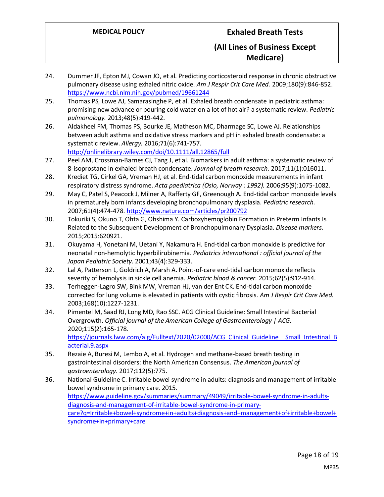- 24. Dummer JF, Epton MJ, Cowan JO, et al. Predicting corticosteroid response in chronic obstructive pulmonary disease using exhaled nitric oxide. *Am J Respir Crit Care Med.* 2009;180(9):846-852. <https://www.ncbi.nlm.nih.gov/pubmed/19661244>
- 25. Thomas PS, Lowe AJ, Samarasinghe P, et al. Exhaled breath condensate in pediatric asthma: promising new advance or pouring cold water on a lot of hot air? a systematic review. *Pediatric pulmonology.* 2013;48(5):419-442.
- 26. Aldakheel FM, Thomas PS, Bourke JE, Matheson MC, Dharmage SC, Lowe AJ. Relationships between adult asthma and oxidative stress markers and pH in exhaled breath condensate: a systematic review. *Allergy.* 2016;71(6):741-757. <http://onlinelibrary.wiley.com/doi/10.1111/all.12865/full>
- 27. Peel AM, Crossman-Barnes CJ, Tang J, et al. Biomarkers in adult asthma: a systematic review of 8-isoprostane in exhaled breath condensate. *Journal of breath research.* 2017;11(1):016011.
- 28. Krediet TG, Cirkel GA, Vreman HJ, et al. End-tidal carbon monoxide measurements in infant respiratory distress syndrome. *Acta paediatrica (Oslo, Norway : 1992).* 2006;95(9):1075-1082.
- 29. May C, Patel S, Peacock J, Milner A, Rafferty GF, Greenough A. End-tidal carbon monoxide levels in prematurely born infants developing bronchopulmonary dysplasia. *Pediatric research.*  2007;61(4):474-478[. http://www.nature.com/articles/pr200792](http://www.nature.com/articles/pr200792)
- 30. Tokuriki S, Okuno T, Ohta G, Ohshima Y. Carboxyhemoglobin Formation in Preterm Infants Is Related to the Subsequent Development of Bronchopulmonary Dysplasia. *Disease markers.*  2015;2015:620921.
- 31. Okuyama H, Yonetani M, Uetani Y, Nakamura H. End-tidal carbon monoxide is predictive for neonatal non-hemolytic hyperbilirubinemia. *Pediatrics international : official journal of the Japan Pediatric Society.* 2001;43(4):329-333.
- 32. Lal A, Patterson L, Goldrich A, Marsh A. Point-of-care end-tidal carbon monoxide reflects severity of hemolysis in sickle cell anemia. *Pediatric blood & cancer.* 2015;62(5):912-914.
- 33. Terheggen-Lagro SW, Bink MW, Vreman HJ, van der Ent CK. End-tidal carbon monoxide corrected for lung volume is elevated in patients with cystic fibrosis. *Am J Respir Crit Care Med.*  2003;168(10):1227-1231.
- 34. Pimentel M, Saad RJ, Long MD, Rao SSC. ACG Clinical Guideline: Small Intestinal Bacterial Overgrowth. *Official journal of the American College of Gastroenterology | ACG.*  2020;115(2):165-178. https://journals.lww.com/ajg/Fulltext/2020/02000/ACG\_Clinical\_Guideline\_Small\_Intestinal\_B [acterial.9.aspx](https://journals.lww.com/ajg/Fulltext/2020/02000/ACG_Clinical_Guideline__Small_Intestinal_Bacterial.9.aspx)
- 35. Rezaie A, Buresi M, Lembo A, et al. Hydrogen and methane-based breath testing in gastrointestinal disorders: the North American Consensus. *The American journal of gastroenterology.* 2017;112(5):775.
- 36. National Guideline C. Irritable bowel syndrome in adults: diagnosis and management of irritable bowel syndrome in primary care. 2015. [https://www.guideline.gov/summaries/summary/49049/irritable-bowel-syndrome-in-adults](https://www.guideline.gov/summaries/summary/49049/irritable-bowel-syndrome-in-adults-diagnosis-and-management-of-irritable-bowel-syndrome-in-primary-care?q=Irritable+bowel+syndrome+in+adults+diagnosis+and+management+of+irritable+bowel+syndrome+in+primary+care)[diagnosis-and-management-of-irritable-bowel-syndrome-in-primary](https://www.guideline.gov/summaries/summary/49049/irritable-bowel-syndrome-in-adults-diagnosis-and-management-of-irritable-bowel-syndrome-in-primary-care?q=Irritable+bowel+syndrome+in+adults+diagnosis+and+management+of+irritable+bowel+syndrome+in+primary+care)[care?q=Irritable+bowel+syndrome+in+adults+diagnosis+and+management+of+irritable+bowel+](https://www.guideline.gov/summaries/summary/49049/irritable-bowel-syndrome-in-adults-diagnosis-and-management-of-irritable-bowel-syndrome-in-primary-care?q=Irritable+bowel+syndrome+in+adults+diagnosis+and+management+of+irritable+bowel+syndrome+in+primary+care) [syndrome+in+primary+care](https://www.guideline.gov/summaries/summary/49049/irritable-bowel-syndrome-in-adults-diagnosis-and-management-of-irritable-bowel-syndrome-in-primary-care?q=Irritable+bowel+syndrome+in+adults+diagnosis+and+management+of+irritable+bowel+syndrome+in+primary+care)